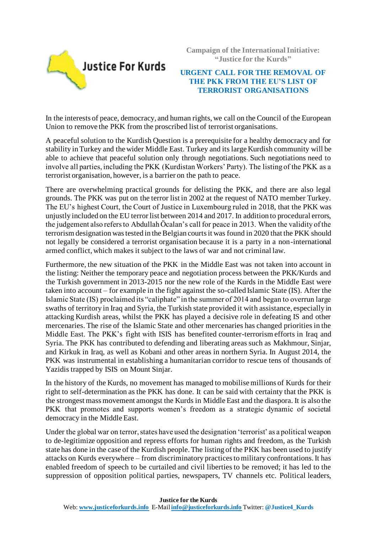

**Campaign of the International Initiative: "Justice for the Kurds"**

## **URGENT CALL FOR THE REMOVAL OF THE PKK FROM THE EU'S LIST OF TERRORIST ORGANISATIONS**

In the interests of peace, democracy, and human rights, we call on the Council of the European Union to remove the PKK from the proscribed list of terrorist organisations.

A peaceful solution to the Kurdish Question is a prerequisite for a healthy democracy and for stability in Turkey and the wider Middle East. Turkey and its large Kurdish community will be able to achieve that peaceful solution only through negotiations. Such negotiations need to involve all parties, including the PKK (Kurdistan Workers' Party). The listing of the PKK as a terrorist organisation, however, is a barrier on the path to peace.

There are overwhelming practical grounds for delisting the PKK, and there are also legal grounds. The PKK was put on the terror list in 2002 at the request of NATO member Turkey. The EU's highest Court, the Court of Justice in Luxembourg ruled in 2018, that the PKK was unjustly included on the EU terror list between 2014 and 2017. In addition to procedural errors, the judgement also refers to Abdullah Öcalan's call for peace in 2013. When the validity of the terrorism designation was tested in the Belgian courts it was found in 2020 that the PKK should not legally be considered a terrorist organisation because it is a party in a non-international armed conflict, which makes it subject to the laws of war and not criminal law.

Furthermore, the new situation of the PKK in the Middle East was not taken into account in the listing: Neither the temporary peace and negotiation process between the PKK/Kurds and the Turkish government in 2013-2015 nor the new role of the Kurds in the Middle East were taken into account – for example in the fight against the so-called Islamic State (IS). After the Islamic State (IS) proclaimed its "caliphate" in the summer of 2014 and began to overrun large swaths of territory in Iraq and Syria, the Turkish state provided it with assistance, especially in attacking Kurdish areas, whilst the PKK has played a decisive role in defeating IS and other mercenaries. The rise of the Islamic State and other mercenaries has changed priorities in the Middle East. The PKK's fight with ISIS has benefited counter-terrorism efforts in Iraq and Syria. The PKK has contributed to defending and liberating areas such as Makhmour, Sinjar, and Kirkuk in Iraq, as well as Kobani and other areas in northern Syria. In August 2014, the PKK was instrumental in establishing a humanitarian corridor to rescue tens of thousands of Yazidis trapped by ISIS on Mount Sinjar.

In the history of the Kurds, no movement has managed to mobilise millions of Kurds for their right to self-determination as the PKK has done. It can be said with certainty that the PKK is the strongest mass movement amongst the Kurds in Middle East and the diaspora. It is also the PKK that promotes and supports women's freedom as a strategic dynamic of societal democracy in the Middle East.

Under the global war on terror, states have used the designation 'terrorist' as a political weapon to de-legitimize opposition and repress efforts for human rights and freedom, as the Turkish state has done in the case of the Kurdish people. The listing of the PKK has been used to justify attacks on Kurds everywhere – from discriminatory practices to military confrontations. It has enabled freedom of speech to be curtailed and civil liberties to be removed; it has led to the suppression of opposition political parties, newspapers, TV channels etc. Political leaders,